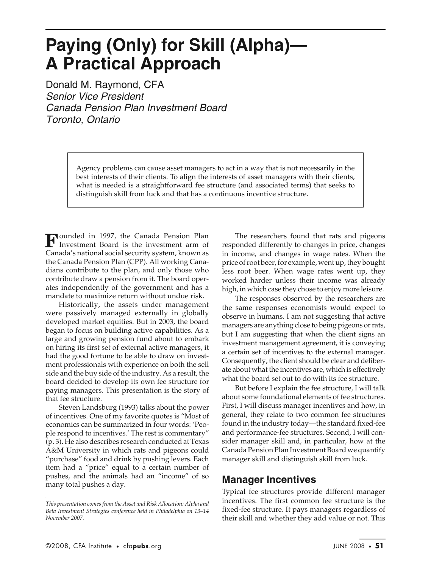## **Paying (Only) for Skill (Alpha)— A Practical Approach**

Donald M. Raymond, CFA Senior Vice President Canada Pension Plan Investment Board Toronto, Ontario

> Agency problems can cause asset managers to act in a way that is not necessarily in the best interests of their clients. To align the interests of asset managers with their clients, what is needed is a straightforward fee structure (and associated terms) that seeks to distinguish skill from luck and that has a continuous incentive structure.

ounded in 1997, the Canada Pension Plan **F** ounded in 1997, the Canada Pension Plan<br>Investment Board is the investment arm of Canada's national social security system, known as the Canada Pension Plan (CPP). All working Canadians contribute to the plan, and only those who contribute draw a pension from it. The board operates independently of the government and has a mandate to maximize return without undue risk.

Historically, the assets under management were passively managed externally in globally developed market equities. But in 2003, the board began to focus on building active capabilities. As a large and growing pension fund about to embark on hiring its first set of external active managers, it had the good fortune to be able to draw on investment professionals with experience on both the sell side and the buy side of the industry. As a result, the board decided to develop its own fee structure for paying managers. This presentation is the story of that fee structure.

Steven Landsburg (1993) talks about the power of incentives. One of my favorite quotes is "Most of economics can be summarized in four words: 'People respond to incentives.' The rest is commentary" (p. 3). He also describes research conducted at Texas A&M University in which rats and pigeons could "purchase" food and drink by pushing levers. Each item had a "price" equal to a certain number of pushes, and the animals had an "income" of so many total pushes a day.

The researchers found that rats and pigeons responded differently to changes in price, changes in income, and changes in wage rates. When the price of root beer, for example, went up, they bought less root beer. When wage rates went up, they worked harder unless their income was already high, in which case they chose to enjoy more leisure.

The responses observed by the researchers are the same responses economists would expect to observe in humans. I am not suggesting that active managers are anything close to being pigeons or rats, but I am suggesting that when the client signs an investment management agreement, it is conveying a certain set of incentives to the external manager. Consequently, the client should be clear and deliberate about what the incentives are, which is effectively what the board set out to do with its fee structure.

But before I explain the fee structure, I will talk about some foundational elements of fee structures. First, I will discuss manager incentives and how, in general, they relate to two common fee structures found in the industry today—the standard fixed-fee and performance-fee structures. Second, I will consider manager skill and, in particular, how at the Canada Pension Plan Investment Board we quantify manager skill and distinguish skill from luck.

## **Manager Incentives**

Typical fee structures provide different manager incentives. The first common fee structure is the fixed-fee structure. It pays managers regardless of their skill and whether they add value or not. This

*This presentation comes from the Asset and Risk Allocation: Alpha and Beta Investment Strategies conference held in Philadelphia on 13–14 November 2007.*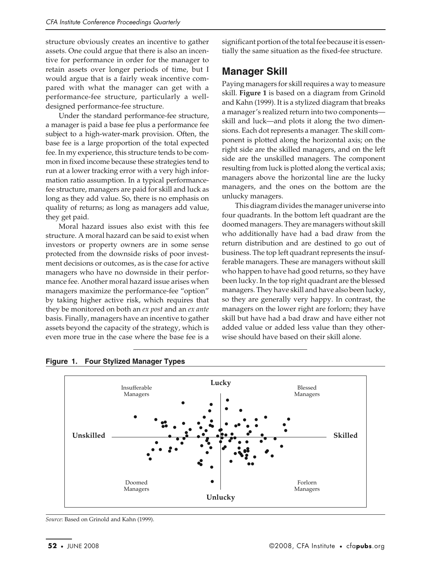structure obviously creates an incentive to gather assets. One could argue that there is also an incentive for performance in order for the manager to retain assets over longer periods of time, but I would argue that is a fairly weak incentive compared with what the manager can get with a performance-fee structure, particularly a welldesigned performance-fee structure.

Under the standard performance-fee structure, a manager is paid a base fee plus a performance fee subject to a high-water-mark provision. Often, the base fee is a large proportion of the total expected fee. In my experience, this structure tends to be common in fixed income because these strategies tend to run at a lower tracking error with a very high information ratio assumption. In a typical performancefee structure, managers are paid for skill and luck as long as they add value. So, there is no emphasis on quality of returns; as long as managers add value, they get paid.

Moral hazard issues also exist with this fee structure. A moral hazard can be said to exist when investors or property owners are in some sense protected from the downside risks of poor investment decisions or outcomes, as is the case for active managers who have no downside in their performance fee. Another moral hazard issue arises when managers maximize the performance-fee "option" by taking higher active risk, which requires that they be monitored on both an *ex post* and an *ex ante* basis. Finally, managers have an incentive to gather assets beyond the capacity of the strategy, which is even more true in the case where the base fee is a significant portion of the total fee because it is essentially the same situation as the fixed-fee structure.

## **Manager Skill**

Paying managers for skill requires a way to measure skill. **Figure 1** is based on a diagram from Grinold and Kahn (1999). It is a stylized diagram that breaks a manager's realized return into two components skill and luck—and plots it along the two dimensions. Each dot represents a manager. The skill component is plotted along the horizontal axis; on the right side are the skilled managers, and on the left side are the unskilled managers. The component resulting from luck is plotted along the vertical axis; managers above the horizontal line are the lucky managers, and the ones on the bottom are the unlucky managers.

This diagram divides the manager universe into four quadrants. In the bottom left quadrant are the doomed managers. They are managers without skill who additionally have had a bad draw from the return distribution and are destined to go out of business. The top left quadrant represents the insufferable managers. These are managers without skill who happen to have had good returns, so they have been lucky. In the top right quadrant are the blessed managers. They have skill and have also been lucky, so they are generally very happy. In contrast, the managers on the lower right are forlorn; they have skill but have had a bad draw and have either not added value or added less value than they otherwise should have based on their skill alone.



**Figure 1. Four Stylized Manager Types**

*Source*: Based on Grinold and Kahn (1999).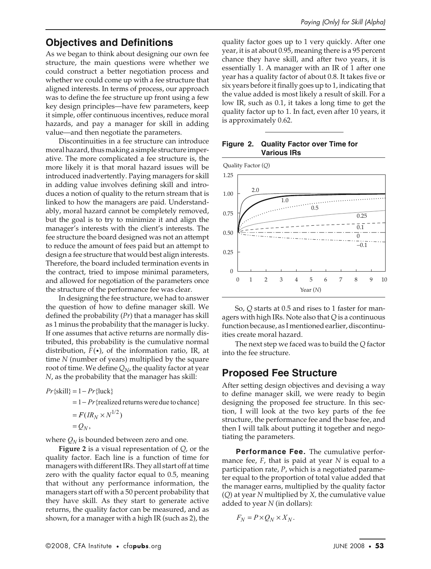### **Objectives and Definitions**

As we began to think about designing our own fee structure, the main questions were whether we could construct a better negotiation process and whether we could come up with a fee structure that aligned interests. In terms of process, our approach was to define the fee structure up front using a few key design principles—have few parameters, keep it simple, offer continuous incentives, reduce moral hazards, and pay a manager for skill in adding value—and then negotiate the parameters.

Discontinuities in a fee structure can introduce moral hazard, thus making a simple structure imperative. The more complicated a fee structure is, the more likely it is that moral hazard issues will be introduced inadvertently. Paying managers for skill in adding value involves defining skill and introduces a notion of quality to the return stream that is linked to how the managers are paid. Understandably, moral hazard cannot be completely removed, but the goal is to try to minimize it and align the manager's interests with the client's interests. The fee structure the board designed was not an attempt to reduce the amount of fees paid but an attempt to design a fee structure that would best align interests. Therefore, the board included termination events in the contract, tried to impose minimal parameters, and allowed for negotiation of the parameters once the structure of the performance fee was clear.

In designing the fee structure, we had to answer the question of how to define manager skill. We defined the probability (*Pr*) that a manager has skill as 1 minus the probability that the manager is lucky. If one assumes that active returns are normally distributed, this probability is the cumulative normal distribution,  $F(\cdot)$ , of the information ratio, IR, at time *N* (number of years) multiplied by the square root of time. We define  $Q_N$ , the quality factor at year *N*, as the probability that the manager has skill:

 $Pr$ {skill} = 1 –  $Pr$ {luck}

 $= 1 - Pr$ {realized returns were due to chance}

$$
= F(R_N \times N^{1/2})
$$
  
=  $Q_N$ ,

where  $Q_N$  is bounded between zero and one.

**Figure 2** is a visual representation of *Q*, or the quality factor. Each line is a function of time for managers with different IRs. They all start off at time zero with the quality factor equal to 0.5, meaning that without any performance information, the managers start off with a 50 percent probability that they have skill. As they start to generate active returns, the quality factor can be measured, and as shown, for a manager with a high IR (such as 2), the

quality factor goes up to 1 very quickly. After one year, it is at about 0.95, meaning there is a 95 percent chance they have skill, and after two years, it is essentially 1. A manager with an IR of 1 after one year has a quality factor of about 0.8. It takes five or six years before it finally goes up to 1, indicating that the value added is most likely a result of skill. For a low IR, such as 0.1, it takes a long time to get the quality factor up to 1. In fact, even after 10 years, it is approximately 0.62.

#### **Figure 2. Quality Factor over Time for Various IRs**



So, *Q* starts at 0.5 and rises to 1 faster for managers with high IRs. Note also that *Q* is a continuous function because, as I mentioned earlier, discontinuities create moral hazard.

The next step we faced was to build the *Q* factor into the fee structure.

## **Proposed Fee Structure**

After setting design objectives and devising a way to define manager skill, we were ready to begin designing the proposed fee structure. In this section, I will look at the two key parts of the fee structure, the performance fee and the base fee, and then I will talk about putting it together and negotiating the parameters.

**Performance Fee.** The cumulative performance fee, *F*, that is paid at year *N* is equal to a participation rate, *P*, which is a negotiated parameter equal to the proportion of total value added that the manager earns, multiplied by the quality factor (*Q*) at year *N* multiplied by *X,* the cumulative value added to year *N* (in dollars):

$$
F_N = P \times Q_N \times X_N.
$$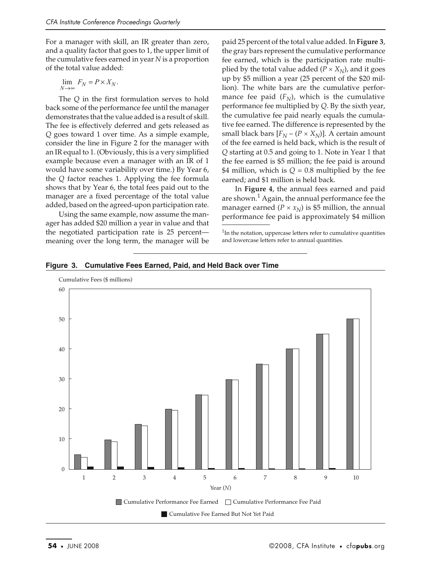For a manager with skill, an IR greater than zero, and a quality factor that goes to 1, the upper limit of the cumulative fees earned in year *N* is a proportion of the total value added:

$$
\lim_{N\to\infty} F_N = P\times X_N.
$$

The *Q* in the first formulation serves to hold back some of the performance fee until the manager demonstrates that the value added is a result of skill. The fee is effectively deferred and gets released as *Q* goes toward 1 over time. As a simple example, consider the line in Figure 2 for the manager with an IR equal to 1. (Obviously, this is a very simplified example because even a manager with an IR of 1 would have some variability over time.) By Year 6, the *Q* factor reaches 1. Applying the fee formula shows that by Year 6, the total fees paid out to the manager are a fixed percentage of the total value added, based on the agreed-upon participation rate.

Using the same example, now assume the manager has added \$20 million a year in value and that the negotiated participation rate is 25 percent meaning over the long term, the manager will be

paid 25 percent of the total value added. In **Figure 3**, the gray bars represent the cumulative performance fee earned, which is the participation rate multiplied by the total value added  $(P \times X_N)$ , and it goes up by \$5 million a year (25 percent of the \$20 million). The white bars are the cumulative performance fee paid  $(F_N)$ , which is the cumulative performance fee multiplied by *Q*. By the sixth year, the cumulative fee paid nearly equals the cumulative fee earned. The difference is represented by the small black bars  $[F_N - (P \times X_N)]$ . A certain amount of the fee earned is held back, which is the result of *Q* starting at 0.5 and going to 1. Note in Year 1 that the fee earned is \$5 million; the fee paid is around \$4 million, which is  $Q = 0.8$  multiplied by the fee earned; and \$1 million is held back.

In **Figure 4**, the annual fees earned and paid are shown.<sup>1</sup> Again, the annual performance fee the manager earned ( $P \times x_N$ ) is \$5 million, the annual performance fee paid is approximately \$4 million

 $1$ In the notation, uppercase letters refer to cumulative quantities and lowercase letters refer to annual quantities.



**Figure 3. Cumulative Fees Earned, Paid, and Held Back over Time**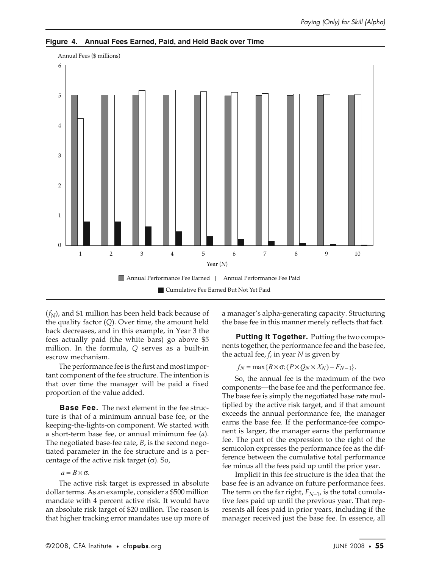

**Figure 4. Annual Fees Earned, Paid, and Held Back over Time**

 $(f<sub>N</sub>)$ , and \$1 million has been held back because of the quality factor (*Q*). Over time, the amount held back decreases, and in this example, in Year 3 the fees actually paid (the white bars) go above \$5 million. In the formula, *Q* serves as a built-in escrow mechanism.

The performance fee is the first and most important component of the fee structure. The intention is that over time the manager will be paid a fixed proportion of the value added.

**Base Fee.** The next element in the fee structure is that of a minimum annual base fee, or the keeping-the-lights-on component. We started with a short-term base fee, or annual minimum fee (*a*). The negotiated base-fee rate, *B*, is the second negotiated parameter in the fee structure and is a percentage of the active risk target  $(\sigma)$ . So,

#### $a = B \times \sigma$ .

The active risk target is expressed in absolute dollar terms. As an example, consider a \$500 million mandate with 4 percent active risk. It would have an absolute risk target of \$20 million. The reason is that higher tracking error mandates use up more of a manager's alpha-generating capacity. Structuring the base fee in this manner merely reflects that fact.

**Putting It Together.** Putting the two components together, the performance fee and the base fee, the actual fee, *f*, in year *N* is given by

 $f_N = \max\{B \times \sigma; (P \times Q_N \times X_N) - F_{N-1}\}.$ 

So, the annual fee is the maximum of the two components—the base fee and the performance fee. The base fee is simply the negotiated base rate multiplied by the active risk target, and if that amount exceeds the annual performance fee, the manager earns the base fee. If the performance-fee component is larger, the manager earns the performance fee. The part of the expression to the right of the semicolon expresses the performance fee as the difference between the cumulative total performance fee minus all the fees paid up until the prior year.

Implicit in this fee structure is the idea that the base fee is an advance on future performance fees. The term on the far right,  $F_{N-1}$ , is the total cumulative fees paid up until the previous year. That represents all fees paid in prior years, including if the manager received just the base fee. In essence, all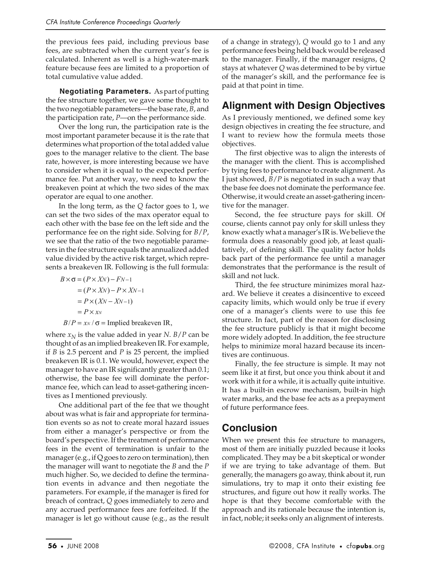the previous fees paid, including previous base fees, are subtracted when the current year's fee is calculated. Inherent as well is a high-water-mark feature because fees are limited to a proportion of total cumulative value added.

**Negotiating Parameters.** As part of putting the fee structure together, we gave some thought to the two negotiable parameters—the base rate, *B*, and the participation rate, *P*—on the performance side.

Over the long run, the participation rate is the most important parameter because it is the rate that determines what proportion of the total added value goes to the manager relative to the client. The base rate, however, is more interesting because we have to consider when it is equal to the expected performance fee. Put another way, we need to know the breakeven point at which the two sides of the max operator are equal to one another.

In the long term, as the *Q* factor goes to 1, we can set the two sides of the max operator equal to each other with the base fee on the left side and the performance fee on the right side. Solving for *B*/*P*, we see that the ratio of the two negotiable parameters in the fee structure equals the annualized added value divided by the active risk target, which represents a breakeven IR. Following is the full formula:

$$
B \times \sigma = (P \times XN) - FN - 1
$$
  
=  $(P \times XN) - P \times XN - 1$   
=  $P \times (XN - XN - 1)$   
=  $P \times xN$   
 $B/P = xx / \sigma$  = implied breakdown IR,

where  $x_N$  is the value added in year *N*. *B*/*P* can be thought of as an implied breakeven IR. For example, if *B* is 2.5 percent and *P* is 25 percent, the implied breakeven IR is 0.1. We would, however, expect the manager to have an IR significantly greater than 0.1; otherwise, the base fee will dominate the performance fee, which can lead to asset-gathering incentives as I mentioned previously.

One additional part of the fee that we thought about was what is fair and appropriate for termination events so as not to create moral hazard issues from either a manager's perspective or from the board's perspective. If the treatment of performance fees in the event of termination is unfair to the manager (e.g., if Q goes to zero on termination), then the manager will want to negotiate the *B* and the *P* much higher. So, we decided to define the termination events in advance and then negotiate the parameters. For example, if the manager is fired for breach of contract, *Q* goes immediately to zero and any accrued performance fees are forfeited. If the manager is let go without cause (e.g., as the result

of a change in strategy), *Q* would go to 1 and any performance fees being held back would be released to the manager. Finally, if the manager resigns, *Q* stays at whatever *Q* was determined to be by virtue of the manager's skill, and the performance fee is paid at that point in time.

## **Alignment with Design Objectives**

As I previously mentioned, we defined some key design objectives in creating the fee structure, and I want to review how the formula meets those objectives.

The first objective was to align the interests of the manager with the client. This is accomplished by tying fees to performance to create alignment. As I just showed, *B*/*P* is negotiated in such a way that the base fee does not dominate the performance fee. Otherwise, it would create an asset-gathering incentive for the manager.

Second, the fee structure pays for skill. Of course, clients cannot pay only for skill unless they know exactly what a manager's IR is. We believe the formula does a reasonably good job, at least qualitatively, of defining skill. The quality factor holds back part of the performance fee until a manager demonstrates that the performance is the result of skill and not luck.

Third, the fee structure minimizes moral hazard. We believe it creates a disincentive to exceed capacity limits, which would only be true if every one of a manager's clients were to use this fee structure. In fact, part of the reason for disclosing the fee structure publicly is that it might become more widely adopted. In addition, the fee structure helps to minimize moral hazard because its incentives are continuous.

Finally, the fee structure is simple. It may not seem like it at first, but once you think about it and work with it for a while, it is actually quite intuitive. It has a built-in escrow mechanism, built-in high water marks, and the base fee acts as a prepayment of future performance fees.

## **Conclusion**

When we present this fee structure to managers, most of them are initially puzzled because it looks complicated. They may be a bit skeptical or wonder if we are trying to take advantage of them. But generally, the managers go away, think about it, run simulations, try to map it onto their existing fee structures, and figure out how it really works. The hope is that they become comfortable with the approach and its rationale because the intention is, in fact, noble; it seeks only an alignment of interests.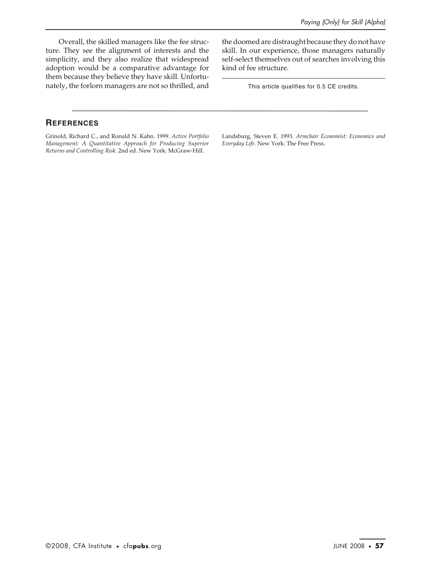Overall, the skilled managers like the fee structure. They see the alignment of interests and the simplicity, and they also realize that widespread adoption would be a comparative advantage for them because they believe they have skill. Unfortunately, the forlorn managers are not so thrilled, and

the doomed are distraught because they do not have skill. In our experience, those managers naturally self-select themselves out of searches involving this kind of fee structure.

This article qualifies for 0.5 CE credits.

#### **REFERENCES**

Grinold, Richard C., and Ronald N. Kahn. 1999. *Active Portfolio Management: A Quantitative Approach for Producing Superior Returns and Controlling Risk*. 2nd ed. New York: McGraw-Hill.

Landsburg, Steven E. 1993. *Armchair Economist: Economics and Everyday Life*. New York: The Free Press.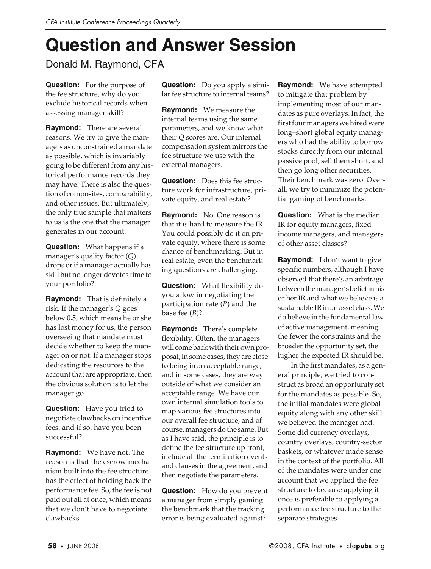# **Question and Answer Session**

Donald M. Raymond, CFA

**Question:** For the purpose of the fee structure, why do you exclude historical records when assessing manager skill?

**Raymond:** There are several reasons. We try to give the managers as unconstrained a mandate as possible, which is invariably going to be different from any historical performance records they may have. There is also the question of composites, comparability, and other issues. But ultimately, the only true sample that matters to us is the one that the manager generates in our account.

**Question:** What happens if a manager's quality factor (*Q*) drops or if a manager actually has skill but no longer devotes time to your portfolio?

**Raymond:** That is definitely a risk. If the manager's *Q* goes below 0.5, which means he or she has lost money for us, the person overseeing that mandate must decide whether to keep the manager on or not. If a manager stops dedicating the resources to the account that are appropriate, then the obvious solution is to let the manager go.

**Question:** Have you tried to negotiate clawbacks on incentive fees, and if so, have you been successful?

**Raymond:** We have not. The reason is that the escrow mechanism built into the fee structure has the effect of holding back the performance fee. So, the fee is not paid out all at once, which means that we don't have to negotiate clawbacks.

**Question:** Do you apply a similar fee structure to internal teams?

**Raymond:** We measure the internal teams using the same parameters, and we know what their *Q* scores are. Our internal compensation system mirrors the fee structure we use with the external managers.

**Question:** Does this fee structure work for infrastructure, private equity, and real estate?

**Raymond:** No. One reason is that it is hard to measure the IR. You could possibly do it on private equity, where there is some chance of benchmarking. But in real estate, even the benchmarking questions are challenging.

**Question:** What flexibility do you allow in negotiating the participation rate (*P*) and the base fee (*B*)?

**Raymond:** There's complete flexibility. Often, the managers will come back with their own proposal; in some cases, they are close to being in an acceptable range, and in some cases, they are way outside of what we consider an acceptable range. We have our own internal simulation tools to map various fee structures into our overall fee structure, and of course, managers do the same. But as I have said, the principle is to define the fee structure up front, include all the termination events and clauses in the agreement, and then negotiate the parameters.

**Question:** How do you prevent a manager from simply gaming the benchmark that the tracking error is being evaluated against?

**Raymond:** We have attempted to mitigate that problem by implementing most of our mandates as pure overlays. In fact, the first four managers we hired were long–short global equity managers who had the ability to borrow stocks directly from our internal passive pool, sell them short, and then go long other securities. Their benchmark was zero. Overall, we try to minimize the potential gaming of benchmarks.

**Question:** What is the median IR for equity managers, fixedincome managers, and managers of other asset classes?

**Raymond:** I don't want to give specific numbers, although I have observed that there's an arbitrage between the manager's belief in his or her IR and what we believe is a sustainable IR in an asset class. We do believe in the fundamental law of active management, meaning the fewer the constraints and the broader the opportunity set, the higher the expected IR should be.

In the first mandates, as a general principle, we tried to construct as broad an opportunity set for the mandates as possible. So, the initial mandates were global equity along with any other skill we believed the manager had. Some did currency overlays, country overlays, country-sector baskets, or whatever made sense in the context of the portfolio. All of the mandates were under one account that we applied the fee structure to because applying it once is preferable to applying a performance fee structure to the separate strategies.